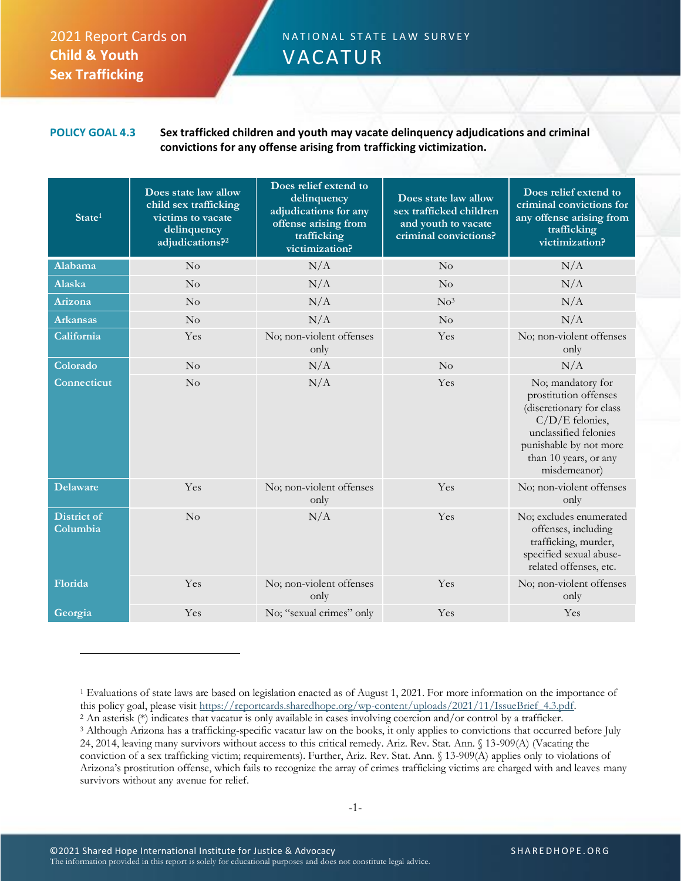## 2021 Report Cards on **Child & Youth Sex Trafficking**

## N A T I O N A L S T A T E L A W S U R V E Y VACATUR

## **POLICY GOAL 4.3 Sex trafficked children and youth may vacate delinquency adjudications and criminal convictions for any offense arising from trafficking victimization.**

| State <sup>1</sup>             | Does state law allow<br>child sex trafficking<br>victims to vacate<br>delinquency<br>adjudications? <sup>2</sup> | Does relief extend to<br>delinquency<br>adjudications for any<br>offense arising from<br>trafficking<br>victimization? | Does state law allow<br>sex trafficked children<br>and youth to vacate<br>criminal convictions? | Does relief extend to<br>criminal convictions for<br>any offense arising from<br>trafficking<br>victimization?                                                                        |
|--------------------------------|------------------------------------------------------------------------------------------------------------------|------------------------------------------------------------------------------------------------------------------------|-------------------------------------------------------------------------------------------------|---------------------------------------------------------------------------------------------------------------------------------------------------------------------------------------|
| Alabama                        | No                                                                                                               | N/A                                                                                                                    | No                                                                                              | N/A                                                                                                                                                                                   |
| <b>Alaska</b>                  | No                                                                                                               | N/A                                                                                                                    | $\rm No$                                                                                        | N/A                                                                                                                                                                                   |
| Arizona                        | $\rm No$                                                                                                         | N/A                                                                                                                    | No <sup>3</sup>                                                                                 | N/A                                                                                                                                                                                   |
| <b>Arkansas</b>                | No                                                                                                               | N/A                                                                                                                    | No                                                                                              | N/A                                                                                                                                                                                   |
| California                     | Yes                                                                                                              | No; non-violent offenses<br>only                                                                                       | Yes                                                                                             | No; non-violent offenses<br>only                                                                                                                                                      |
| Colorado                       | No                                                                                                               | N/A                                                                                                                    | No                                                                                              | N/A                                                                                                                                                                                   |
| <b>Connecticut</b>             | No                                                                                                               | N/A                                                                                                                    | Yes                                                                                             | No; mandatory for<br>prostitution offenses<br>(discretionary for class<br>C/D/E felonies,<br>unclassified felonies<br>punishable by not more<br>than 10 years, or any<br>misdemeanor) |
| <b>Delaware</b>                | Yes                                                                                                              | No; non-violent offenses<br>only                                                                                       | Yes                                                                                             | No; non-violent offenses<br>only                                                                                                                                                      |
| <b>District of</b><br>Columbia | No                                                                                                               | N/A                                                                                                                    | Yes                                                                                             | No; excludes enumerated<br>offenses, including<br>trafficking, murder,<br>specified sexual abuse-<br>related offenses, etc.                                                           |
| Florida                        | Yes                                                                                                              | No; non-violent offenses<br>only                                                                                       | Yes                                                                                             | No; non-violent offenses<br>only                                                                                                                                                      |
| Georgia                        | Yes                                                                                                              | No; "sexual crimes" only                                                                                               | Yes                                                                                             | Yes                                                                                                                                                                                   |

<sup>1</sup> Evaluations of state laws are based on legislation enacted as of August 1, 2021. For more information on the importance of this policy goal, please visit [https://reportcards.sharedhope.org/wp-content/uploads/2021/11/IssueBrief\\_4.3.pdf.](https://reportcards.sharedhope.org/wp-content/uploads/2021/11/IssueBrief_4.3.pdf)

<sup>2</sup> An asterisk (\*) indicates that vacatur is only available in cases involving coercion and/or control by a trafficker. <sup>3</sup> Although Arizona has a trafficking-specific vacatur law on the books, it only applies to convictions that occurred before July 24, 2014, leaving many survivors without access to this critical remedy. Ariz. Rev. Stat. Ann. § 13-909(A) (Vacating the conviction of a sex trafficking victim; requirements). Further, Ariz. Rev. Stat. Ann. § 13-909(A) applies only to violations of Arizona's prostitution offense, which fails to recognize the array of crimes trafficking victims are charged with and leaves many survivors without any avenue for relief.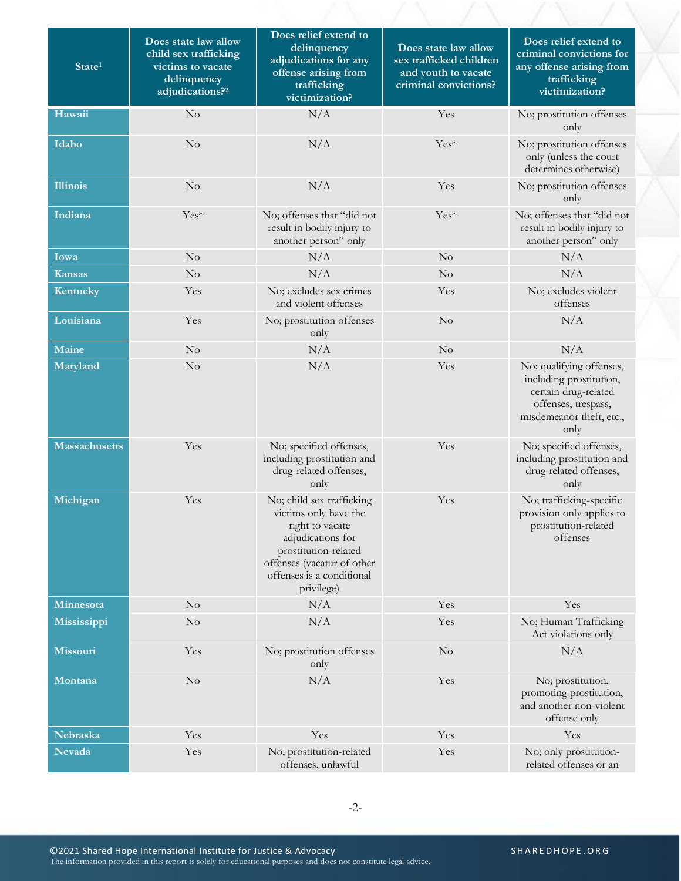| State <sup>1</sup>   | Does state law allow<br>child sex trafficking<br>victims to vacate<br>delinquency<br>adjudications? <sup>2</sup> | Does relief extend to<br>delinquency<br>adjudications for any<br>offense arising from<br>trafficking<br>victimization?                                                                      | Does state law allow<br>sex trafficked children<br>and youth to vacate<br>criminal convictions? | Does relief extend to<br>criminal convictions for<br>any offense arising from<br>trafficking<br>victimization?                         |
|----------------------|------------------------------------------------------------------------------------------------------------------|---------------------------------------------------------------------------------------------------------------------------------------------------------------------------------------------|-------------------------------------------------------------------------------------------------|----------------------------------------------------------------------------------------------------------------------------------------|
| Hawaii               | No                                                                                                               | N/A                                                                                                                                                                                         | Yes                                                                                             | No; prostitution offenses<br>only                                                                                                      |
| Idaho                | $\rm No$                                                                                                         | N/A                                                                                                                                                                                         | Yes*                                                                                            | No; prostitution offenses<br>only (unless the court<br>determines otherwise)                                                           |
| <b>Illinois</b>      | No                                                                                                               | N/A                                                                                                                                                                                         | Yes                                                                                             | No; prostitution offenses<br>only                                                                                                      |
| Indiana              | Yes*                                                                                                             | No; offenses that "did not<br>result in bodily injury to<br>another person" only                                                                                                            | Yes*                                                                                            | No; offenses that "did not<br>result in bodily injury to<br>another person" only                                                       |
| Iowa                 | $\rm No$                                                                                                         | N/A                                                                                                                                                                                         | No                                                                                              | N/A                                                                                                                                    |
| <b>Kansas</b>        | No                                                                                                               | N/A                                                                                                                                                                                         | No                                                                                              | N/A                                                                                                                                    |
| Kentucky             | Yes                                                                                                              | No; excludes sex crimes<br>and violent offenses                                                                                                                                             | Yes                                                                                             | No; excludes violent<br>offenses                                                                                                       |
| Louisiana            | Yes                                                                                                              | No; prostitution offenses<br>only                                                                                                                                                           | No                                                                                              | N/A                                                                                                                                    |
| Maine                | No                                                                                                               | N/A                                                                                                                                                                                         | No                                                                                              | N/A                                                                                                                                    |
| Maryland             | No                                                                                                               | N/A                                                                                                                                                                                         | Yes                                                                                             | No; qualifying offenses,<br>including prostitution,<br>certain drug-related<br>offenses, trespass,<br>misdemeanor theft, etc.,<br>only |
| <b>Massachusetts</b> | Yes                                                                                                              | No; specified offenses,<br>including prostitution and<br>drug-related offenses,<br>only                                                                                                     | Yes                                                                                             | No; specified offenses,<br>including prostitution and<br>drug-related offenses,<br>only                                                |
| Michigan             | Yes                                                                                                              | No; child sex trafficking<br>victims only have the<br>right to vacate<br>adjudications for<br>prostitution-related<br>offenses (vacatur of other<br>offenses is a conditional<br>privilege) | Yes                                                                                             | No; trafficking-specific<br>provision only applies to<br>prostitution-related<br>offenses                                              |
| Minnesota            | No                                                                                                               | N/A                                                                                                                                                                                         | Yes                                                                                             | Yes                                                                                                                                    |
| Mississippi          | No                                                                                                               | N/A                                                                                                                                                                                         | Yes                                                                                             | No; Human Trafficking<br>Act violations only                                                                                           |
| <b>Missouri</b>      | Yes                                                                                                              | No; prostitution offenses<br>only                                                                                                                                                           | No                                                                                              | N/A                                                                                                                                    |
| Montana              | No                                                                                                               | N/A                                                                                                                                                                                         | Yes                                                                                             | No; prostitution,<br>promoting prostitution,<br>and another non-violent<br>offense only                                                |
| Nebraska             | Yes                                                                                                              | Yes                                                                                                                                                                                         | Yes                                                                                             | Yes                                                                                                                                    |
| Nevada               | Yes                                                                                                              | No; prostitution-related<br>offenses, unlawful                                                                                                                                              | Yes                                                                                             | No; only prostitution-<br>related offenses or an                                                                                       |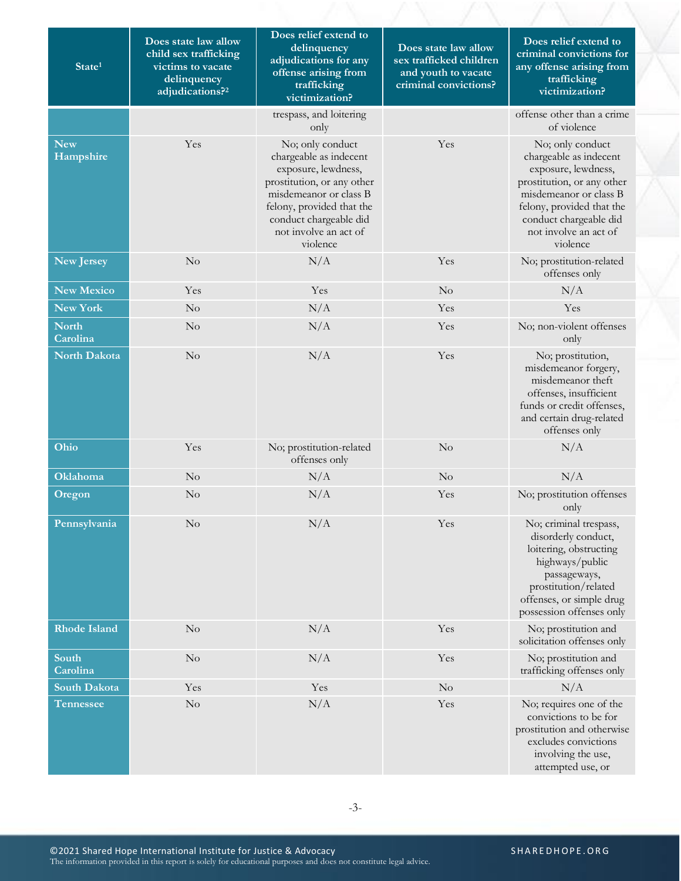| State <sup>1</sup>       | Does state law allow<br>child sex trafficking<br>victims to vacate<br>delinquency<br>adjudications? <sup>2</sup> | Does relief extend to<br>delinquency<br>adjudications for any<br>offense arising from<br>trafficking<br>victimization?                                                                                                | Does state law allow<br>sex trafficked children<br>and youth to vacate<br>criminal convictions? | Does relief extend to<br>criminal convictions for<br>any offense arising from<br>trafficking<br>victimization?                                                                                                        |
|--------------------------|------------------------------------------------------------------------------------------------------------------|-----------------------------------------------------------------------------------------------------------------------------------------------------------------------------------------------------------------------|-------------------------------------------------------------------------------------------------|-----------------------------------------------------------------------------------------------------------------------------------------------------------------------------------------------------------------------|
|                          |                                                                                                                  | trespass, and loitering<br>only                                                                                                                                                                                       |                                                                                                 | offense other than a crime<br>of violence                                                                                                                                                                             |
| <b>New</b><br>Hampshire  | Yes                                                                                                              | No; only conduct<br>chargeable as indecent<br>exposure, lewdness,<br>prostitution, or any other<br>misdemeanor or class B<br>felony, provided that the<br>conduct chargeable did<br>not involve an act of<br>violence | Yes                                                                                             | No; only conduct<br>chargeable as indecent<br>exposure, lewdness,<br>prostitution, or any other<br>misdemeanor or class B<br>felony, provided that the<br>conduct chargeable did<br>not involve an act of<br>violence |
| <b>New Jersey</b>        | No                                                                                                               | N/A                                                                                                                                                                                                                   | Yes                                                                                             | No; prostitution-related<br>offenses only                                                                                                                                                                             |
| <b>New Mexico</b>        | Yes                                                                                                              | Yes                                                                                                                                                                                                                   | No                                                                                              | N/A                                                                                                                                                                                                                   |
| New York                 | $\rm No$                                                                                                         | N/A                                                                                                                                                                                                                   | Yes                                                                                             | Yes                                                                                                                                                                                                                   |
| <b>North</b><br>Carolina | No                                                                                                               | N/A                                                                                                                                                                                                                   | Yes                                                                                             | No; non-violent offenses<br>only                                                                                                                                                                                      |
| <b>North Dakota</b>      | No                                                                                                               | N/A                                                                                                                                                                                                                   | Yes                                                                                             | No; prostitution,<br>misdemeanor forgery,<br>misdemeanor theft<br>offenses, insufficient<br>funds or credit offenses,<br>and certain drug-related<br>offenses only                                                    |
| Ohio                     | Yes                                                                                                              | No; prostitution-related<br>offenses only                                                                                                                                                                             | No                                                                                              | N/A                                                                                                                                                                                                                   |
| <b>Oklahoma</b>          | No                                                                                                               | N/A                                                                                                                                                                                                                   | No                                                                                              | N/A                                                                                                                                                                                                                   |
| Oregon                   | No                                                                                                               | N/A                                                                                                                                                                                                                   | Yes                                                                                             | No; prostitution offenses<br>only                                                                                                                                                                                     |
| Pennsylvania             | $\rm No$                                                                                                         | N/A                                                                                                                                                                                                                   | Yes                                                                                             | No; criminal trespass,<br>disorderly conduct,<br>loitering, obstructing<br>highways/public<br>passageways,<br>prostitution/related<br>offenses, or simple drug<br>possession offenses only                            |
| <b>Rhode Island</b>      | No                                                                                                               | N/A                                                                                                                                                                                                                   | Yes                                                                                             | No; prostitution and<br>solicitation offenses only                                                                                                                                                                    |
| South<br>Carolina        | $\rm No$                                                                                                         | N/A                                                                                                                                                                                                                   | Yes                                                                                             | No; prostitution and<br>trafficking offenses only                                                                                                                                                                     |
| <b>South Dakota</b>      | Yes                                                                                                              | Yes                                                                                                                                                                                                                   | N <sub>o</sub>                                                                                  | N/A                                                                                                                                                                                                                   |
| <b>Tennessee</b>         | $\rm No$                                                                                                         | N/A                                                                                                                                                                                                                   | Yes                                                                                             | No; requires one of the<br>convictions to be for<br>prostitution and otherwise<br>excludes convictions<br>involving the use,<br>attempted use, or                                                                     |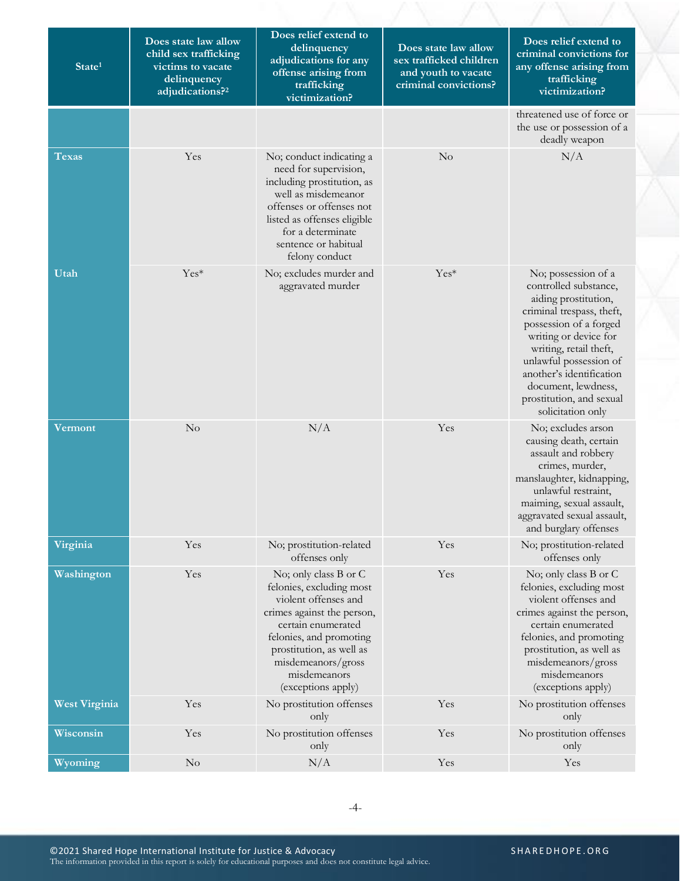| State <sup>1</sup>   | Does state law allow<br>child sex trafficking<br>victims to vacate<br>delinquency<br>adjudications? <sup>2</sup> | Does relief extend to<br>delinquency<br>adjudications for any<br>offense arising from<br>trafficking<br>victimization?                                                                                                                           | Does state law allow<br>sex trafficked children<br>and youth to vacate<br>criminal convictions? | Does relief extend to<br>criminal convictions for<br>any offense arising from<br>trafficking<br>victimization?                                                                                                                                                                                               |
|----------------------|------------------------------------------------------------------------------------------------------------------|--------------------------------------------------------------------------------------------------------------------------------------------------------------------------------------------------------------------------------------------------|-------------------------------------------------------------------------------------------------|--------------------------------------------------------------------------------------------------------------------------------------------------------------------------------------------------------------------------------------------------------------------------------------------------------------|
|                      |                                                                                                                  |                                                                                                                                                                                                                                                  |                                                                                                 | threatened use of force or<br>the use or possession of a<br>deadly weapon                                                                                                                                                                                                                                    |
| Texas                | Yes                                                                                                              | No; conduct indicating a<br>need for supervision,<br>including prostitution, as<br>well as misdemeanor<br>offenses or offenses not<br>listed as offenses eligible<br>for a determinate<br>sentence or habitual<br>felony conduct                 | No                                                                                              | N/A                                                                                                                                                                                                                                                                                                          |
| Utah                 | Yes*                                                                                                             | No; excludes murder and<br>aggravated murder                                                                                                                                                                                                     | Yes*                                                                                            | No; possession of a<br>controlled substance,<br>aiding prostitution,<br>criminal trespass, theft,<br>possession of a forged<br>writing or device for<br>writing, retail theft,<br>unlawful possession of<br>another's identification<br>document, lewdness,<br>prostitution, and sexual<br>solicitation only |
| Vermont              | No                                                                                                               | N/A                                                                                                                                                                                                                                              | Yes                                                                                             | No; excludes arson<br>causing death, certain<br>assault and robbery<br>crimes, murder,<br>manslaughter, kidnapping,<br>unlawful restraint,<br>maiming, sexual assault,<br>aggravated sexual assault,<br>and burglary offenses                                                                                |
| Virginia             | Yes                                                                                                              | No; prostitution-related<br>offenses only                                                                                                                                                                                                        | Yes                                                                                             | No; prostitution-related<br>offenses only                                                                                                                                                                                                                                                                    |
| Washington           | Yes                                                                                                              | No; only class B or C<br>felonies, excluding most<br>violent offenses and<br>crimes against the person,<br>certain enumerated<br>felonies, and promoting<br>prostitution, as well as<br>misdemeanors/gross<br>misdemeanors<br>(exceptions apply) | Yes                                                                                             | No; only class B or C<br>felonies, excluding most<br>violent offenses and<br>crimes against the person,<br>certain enumerated<br>felonies, and promoting<br>prostitution, as well as<br>misdemeanors/gross<br>misdemeanors<br>(exceptions apply)                                                             |
| <b>West Virginia</b> | Yes                                                                                                              | No prostitution offenses<br>only                                                                                                                                                                                                                 | Yes                                                                                             | No prostitution offenses<br>only                                                                                                                                                                                                                                                                             |
| Wisconsin            | Yes                                                                                                              | No prostitution offenses<br>only                                                                                                                                                                                                                 | Yes                                                                                             | No prostitution offenses<br>only                                                                                                                                                                                                                                                                             |
| Wyoming              | $\rm No$                                                                                                         | N/A                                                                                                                                                                                                                                              | Yes                                                                                             | Yes                                                                                                                                                                                                                                                                                                          |